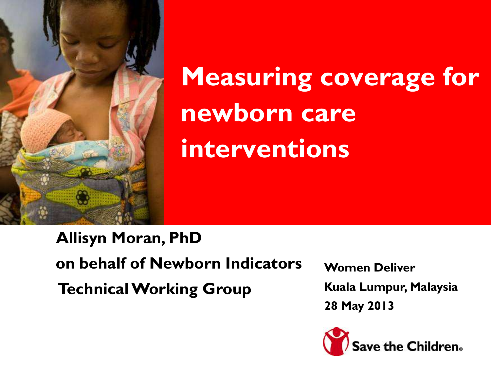

**Measuring coverage for newborn care interventions**

**Allisyn Moran, PhD on behalf of Newborn Indicators Technical Working Group**

**Women Deliver Kuala Lumpur, Malaysia 28 May 2013**

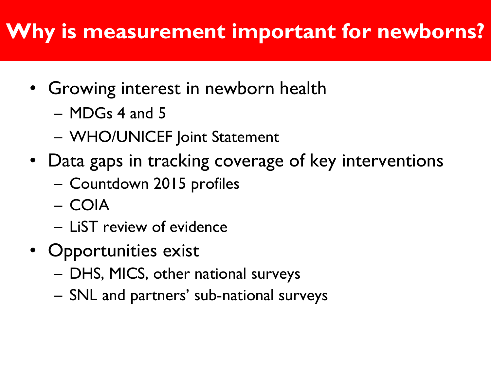### **Why is measurement important for newborns?**

- Growing interest in newborn health
	- MDGs 4 and 5
	- WHO/UNICEF Joint Statement
- Data gaps in tracking coverage of key interventions
	- Countdown 2015 profiles
	- COIA
	- LiST review of evidence
- Opportunities exist
	- DHS, MICS, other national surveys
	- SNL and partners' sub-national surveys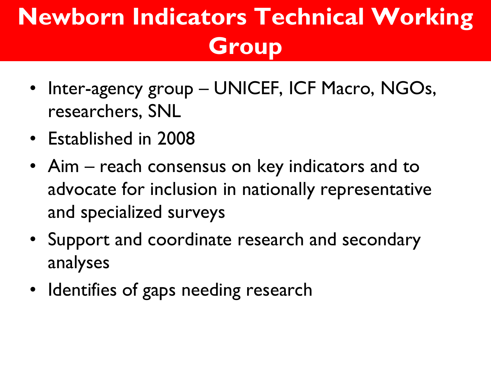# **Newborn Indicators Technical Working Group**

- Inter-agency group UNICEF, ICF Macro, NGOs, researchers, SNL
- Established in 2008
- Aim reach consensus on key indicators and to advocate for inclusion in nationally representative and specialized surveys
- Support and coordinate research and secondary analyses
- Identifies of gaps needing research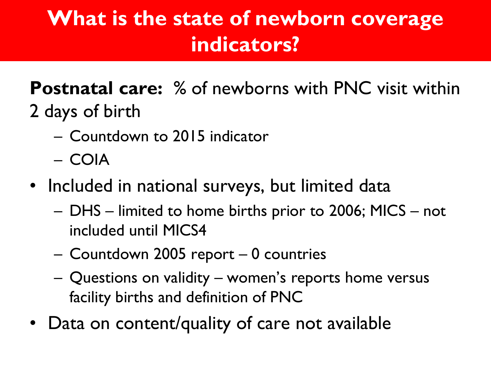### **What is the state of newborn coverage indicators?**

#### **Postnatal care:** % of newborns with PNC visit within 2 days of birth

- Countdown to 2015 indicator
- COIA
- Included in national surveys, but limited data
	- DHS limited to home births prior to 2006; MICS not included until MICS4
	- Countdown 2005 report 0 countries
	- Questions on validity women's reports home versus facility births and definition of PNC
- Data on content/quality of care not available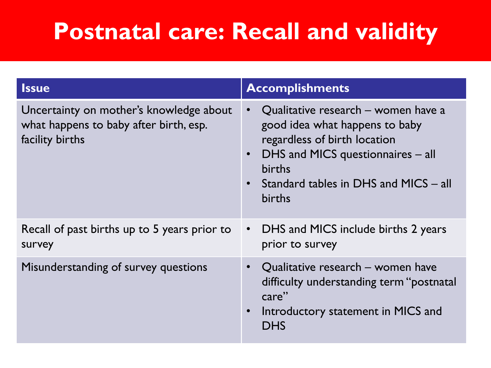## **Postnatal care: Recall and validity**

| <b>Issue</b>                                                                                         | <b>Accomplishments</b>                                                                                                                                                                                  |
|------------------------------------------------------------------------------------------------------|---------------------------------------------------------------------------------------------------------------------------------------------------------------------------------------------------------|
| Uncertainty on mother's knowledge about<br>what happens to baby after birth, esp.<br>facility births | Qualitative research – women have a<br>good idea what happens to baby<br>regardless of birth location<br>DHS and MICS questionnaires - all<br>births<br>Standard tables in DHS and MICS - all<br>births |
| Recall of past births up to 5 years prior to<br>survey                                               | DHS and MICS include births 2 years<br>$\bullet$<br>prior to survey                                                                                                                                     |
| Misunderstanding of survey questions                                                                 | • Qualitative research - women have<br>difficulty understanding term "postnatal<br>care"<br>Introductory statement in MICS and<br><b>DHS</b>                                                            |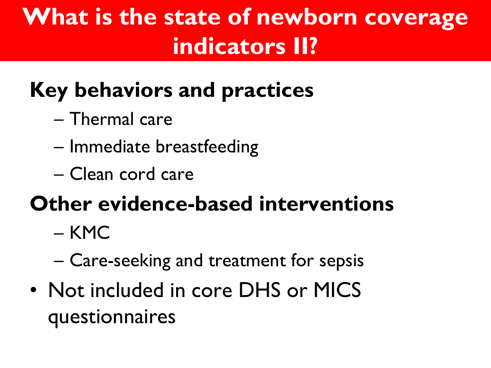## **What is the state of newborn coverage indicators II?**

## **Key behaviors and practices**

- Thermal care
- Immediate breastfeeding
- Clean cord care

### **Other evidence-based interventions**

- KMC
- Care-seeking and treatment for sepsis
- Not included in core DHS or MICS questionnaires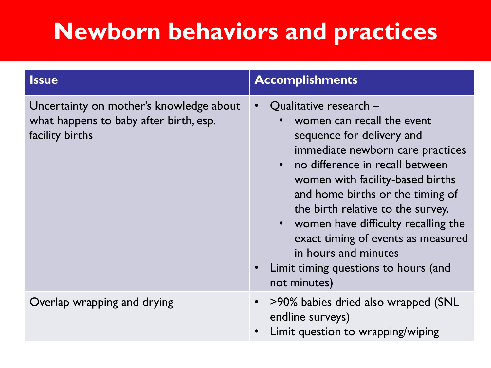## **Newborn behaviors and practices**

| <b>Issue</b>                                                                                         | <b>Accomplishments</b>                                                                                                                                                                                                                                                                                                                                                                                                                 |
|------------------------------------------------------------------------------------------------------|----------------------------------------------------------------------------------------------------------------------------------------------------------------------------------------------------------------------------------------------------------------------------------------------------------------------------------------------------------------------------------------------------------------------------------------|
| Uncertainty on mother's knowledge about<br>what happens to baby after birth, esp.<br>facility births | Qualitative research -<br>women can recall the event<br>sequence for delivery and<br>immediate newborn care practices<br>• no difference in recall between<br>women with facility-based births<br>and home births or the timing of<br>the birth relative to the survey.<br>• women have difficulty recalling the<br>exact timing of events as measured<br>in hours and minutes<br>Limit timing questions to hours (and<br>not minutes) |
| Overlap wrapping and drying                                                                          | >90% babies dried also wrapped (SNL<br>$\bullet$<br>endline surveys)<br>Limit question to wrapping/wiping                                                                                                                                                                                                                                                                                                                              |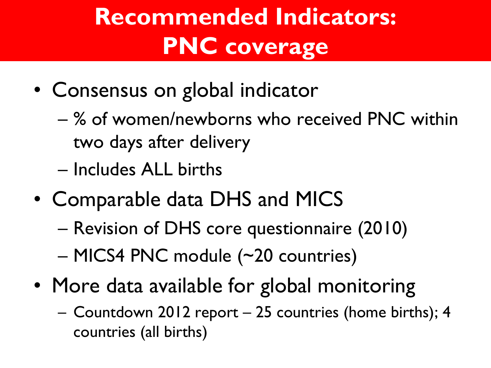# **Recommended Indicators: PNC coverage**

- Consensus on global indicator
	- % of women/newborns who received PNC within two days after delivery
	- Includes ALL births
- Comparable data DHS and MICS
	- Revision of DHS core questionnaire (2010)
	- MICS4 PNC module (~20 countries)
- More data available for global monitoring
	- Countdown 2012 report 25 countries (home births); 4 countries (all births)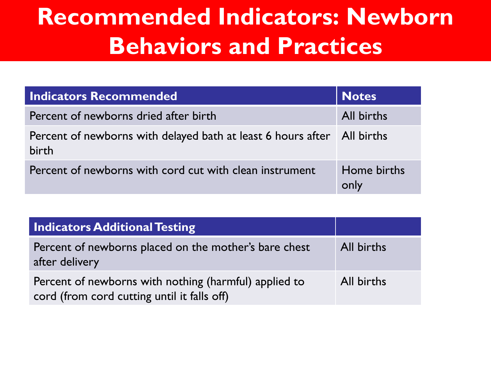## **Recommended Indicators: Newborn Behaviors and Practices**

| <b>Indicators Recommended</b>                                                      | <b>Notes</b>        |
|------------------------------------------------------------------------------------|---------------------|
| Percent of newborns dried after birth                                              | All births          |
| Percent of newborns with delayed bath at least 6 hours after   All births<br>birth |                     |
| Percent of newborns with cord cut with clean instrument                            | Home births<br>only |

| <b>Indicators Additional Testing</b>                                                                 |            |
|------------------------------------------------------------------------------------------------------|------------|
| Percent of newborns placed on the mother's bare chest<br>after delivery                              | All births |
| Percent of newborns with nothing (harmful) applied to<br>cord (from cord cutting until it falls off) | All births |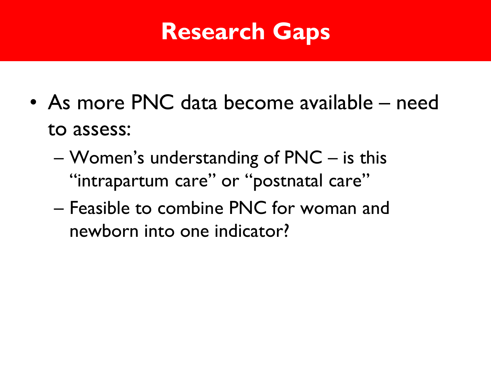## **Research Gaps**

- As more PNC data become available need to assess:
	- Women's understanding of PNC is this "intrapartum care" or "postnatal care"
	- Feasible to combine PNC for woman and newborn into one indicator?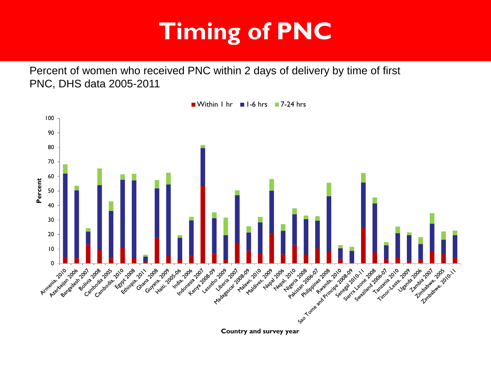# **Timing of PNC**

Percent of women who received PNC within 2 days of delivery by time of first PNC, DHS data 2005-2011

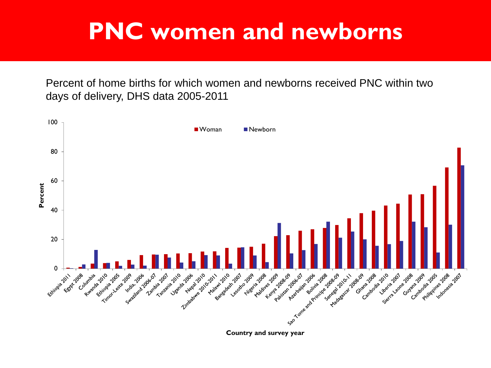### **PNC women and newborns**

Percent of home births for which women and newborns received PNC within two days of delivery, DHS data 2005-2011



**Country and survey year**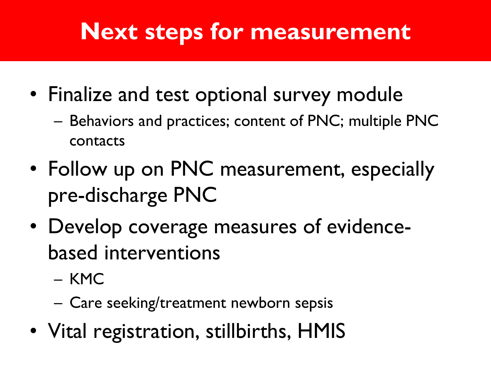## **Next steps for measurement**

- Finalize and test optional survey module
	- Behaviors and practices; content of PNC; multiple PNC contacts
- Follow up on PNC measurement, especially pre-discharge PNC
- Develop coverage measures of evidencebased interventions
	- KMC
	- Care seeking/treatment newborn sepsis
- Vital registration, stillbirths, HMIS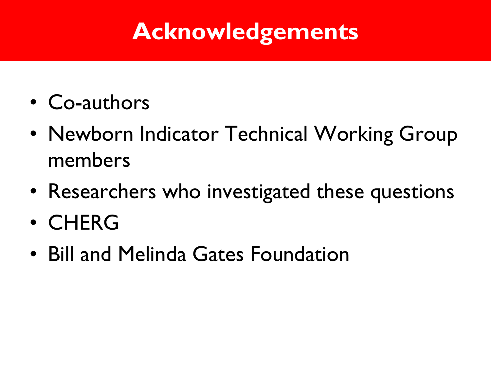## **Acknowledgements**

- Co-authors
- Newborn Indicator Technical Working Group members
- Researchers who investigated these questions
- CHERG
- Bill and Melinda Gates Foundation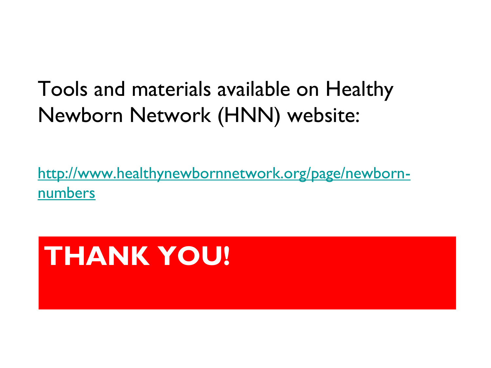#### Tools and materials available on Healthy Newborn Network (HNN) website:

[http://www.healthynewbornnetwork.org/page/newborn](http://www.healthynewbornnetwork.org/page/newborn-numbers)[numbers](http://www.healthynewbornnetwork.org/page/newborn-numbers)

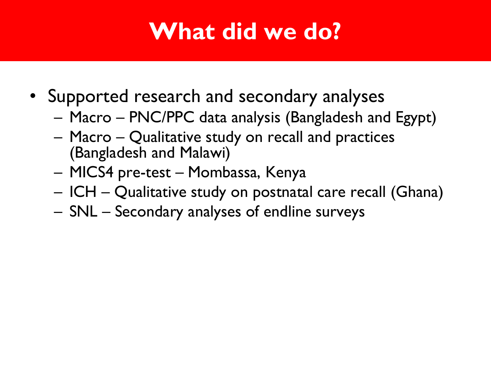## **What did we do?**

- Supported research and secondary analyses
	- Macro PNC/PPC data analysis (Bangladesh and Egypt)
	- Macro Qualitative study on recall and practices (Bangladesh and Malawi)
	- MICS4 pre-test Mombassa, Kenya
	- ICH Qualitative study on postnatal care recall (Ghana)
	- SNL Secondary analyses of endline surveys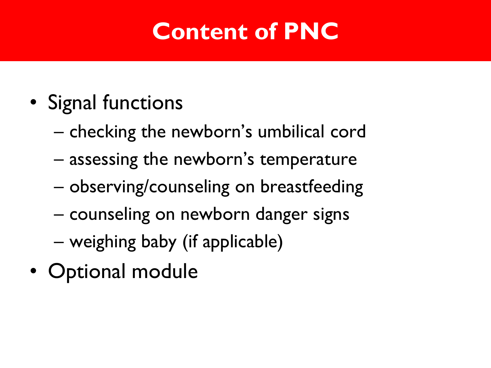## **Content of PNC**

- Signal functions
	- checking the newborn's umbilical cord
	- assessing the newborn's temperature
	- observing/counseling on breastfeeding
	- counseling on newborn danger signs
	- weighing baby (if applicable)
- Optional module